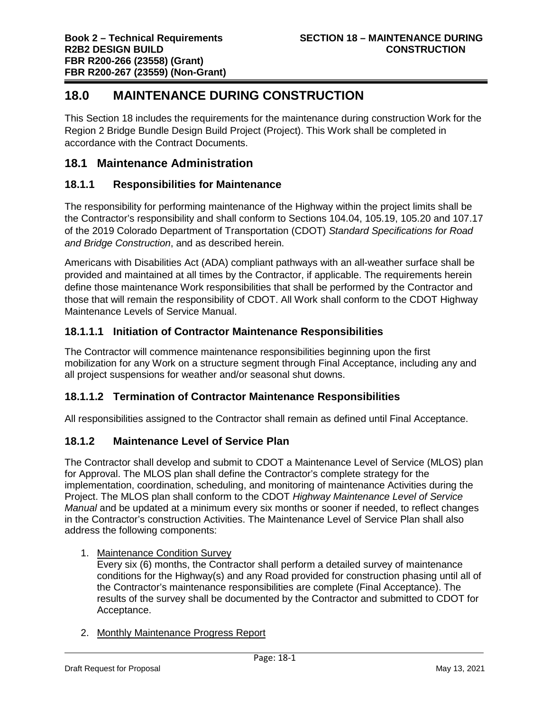# **18.0 MAINTENANCE DURING CONSTRUCTION**

This Section 18 includes the requirements for the maintenance during construction Work for the Region 2 Bridge Bundle Design Build Project (Project). This Work shall be completed in accordance with the Contract Documents.

# **18.1 Maintenance Administration**

### **18.1.1 Responsibilities for Maintenance**

The responsibility for performing maintenance of the Highway within the project limits shall be the Contractor's responsibility and shall conform to Sections 104.04, 105.19, 105.20 and 107.17 of the 2019 Colorado Department of Transportation (CDOT) *Standard Specifications for Road and Bridge Construction*, and as described herein.

Americans with Disabilities Act (ADA) compliant pathways with an all-weather surface shall be provided and maintained at all times by the Contractor, if applicable. The requirements herein define those maintenance Work responsibilities that shall be performed by the Contractor and those that will remain the responsibility of CDOT. All Work shall conform to the CDOT Highway Maintenance Levels of Service Manual.

## **18.1.1.1 Initiation of Contractor Maintenance Responsibilities**

The Contractor will commence maintenance responsibilities beginning upon the first mobilization for any Work on a structure segment through Final Acceptance, including any and all project suspensions for weather and/or seasonal shut downs.

# **18.1.1.2 Termination of Contractor Maintenance Responsibilities**

All responsibilities assigned to the Contractor shall remain as defined until Final Acceptance.

### **18.1.2 Maintenance Level of Service Plan**

The Contractor shall develop and submit to CDOT a Maintenance Level of Service (MLOS) plan for Approval. The MLOS plan shall define the Contractor's complete strategy for the implementation, coordination, scheduling, and monitoring of maintenance Activities during the Project. The MLOS plan shall conform to the CDOT *Highway Maintenance Level of Service Manual* and be updated at a minimum every six months or sooner if needed, to reflect changes in the Contractor's construction Activities. The Maintenance Level of Service Plan shall also address the following components:

1. Maintenance Condition Survey

Every six (6) months, the Contractor shall perform a detailed survey of maintenance conditions for the Highway(s) and any Road provided for construction phasing until all of the Contractor's maintenance responsibilities are complete (Final Acceptance). The results of the survey shall be documented by the Contractor and submitted to CDOT for Acceptance.

2. Monthly Maintenance Progress Report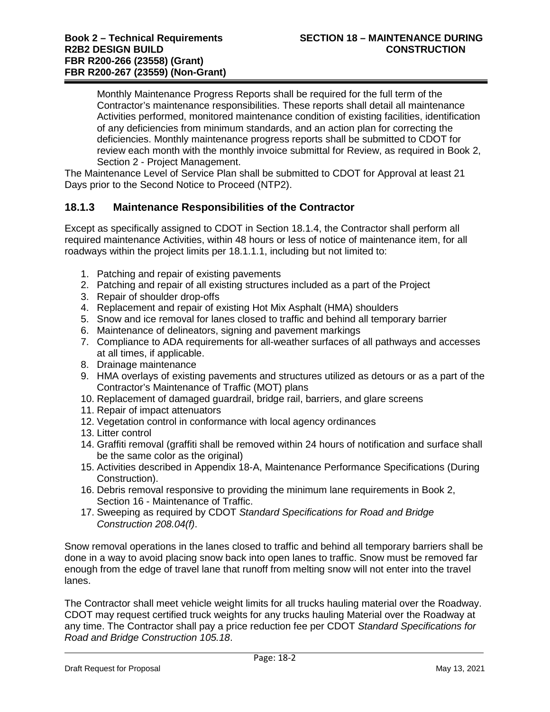Monthly Maintenance Progress Reports shall be required for the full term of the Contractor's maintenance responsibilities. These reports shall detail all maintenance Activities performed, monitored maintenance condition of existing facilities, identification of any deficiencies from minimum standards, and an action plan for correcting the deficiencies. Monthly maintenance progress reports shall be submitted to CDOT for review each month with the monthly invoice submittal for Review, as required in Book 2, Section 2 - Project Management.

The Maintenance Level of Service Plan shall be submitted to CDOT for Approval at least 21 Days prior to the Second Notice to Proceed (NTP2).

#### **18.1.3 Maintenance Responsibilities of the Contractor**

Except as specifically assigned to CDOT in Section 18.1.4, the Contractor shall perform all required maintenance Activities, within 48 hours or less of notice of maintenance item, for all roadways within the project limits per 18.1.1.1, including but not limited to:

- 1. Patching and repair of existing pavements
- 2. Patching and repair of all existing structures included as a part of the Project
- 3. Repair of shoulder drop-offs
- 4. Replacement and repair of existing Hot Mix Asphalt (HMA) shoulders
- 5. Snow and ice removal for lanes closed to traffic and behind all temporary barrier
- 6. Maintenance of delineators, signing and pavement markings
- 7. Compliance to ADA requirements for all-weather surfaces of all pathways and accesses at all times, if applicable.
- 8. Drainage maintenance
- 9. HMA overlays of existing pavements and structures utilized as detours or as a part of the Contractor's Maintenance of Traffic (MOT) plans
- 10. Replacement of damaged guardrail, bridge rail, barriers, and glare screens
- 11. Repair of impact attenuators
- 12. Vegetation control in conformance with local agency ordinances
- 13. Litter control
- 14. Graffiti removal (graffiti shall be removed within 24 hours of notification and surface shall be the same color as the original)
- 15. Activities described in Appendix 18-A, Maintenance Performance Specifications (During Construction).
- 16. Debris removal responsive to providing the minimum lane requirements in Book 2, Section 16 - Maintenance of Traffic.
- 17. Sweeping as required by CDOT *Standard Specifications for Road and Bridge Construction 208.04(f)*.

Snow removal operations in the lanes closed to traffic and behind all temporary barriers shall be done in a way to avoid placing snow back into open lanes to traffic. Snow must be removed far enough from the edge of travel lane that runoff from melting snow will not enter into the travel lanes.

The Contractor shall meet vehicle weight limits for all trucks hauling material over the Roadway. CDOT may request certified truck weights for any trucks hauling Material over the Roadway at any time. The Contractor shall pay a price reduction fee per CDOT *Standard Specifications for Road and Bridge Construction 105.18*.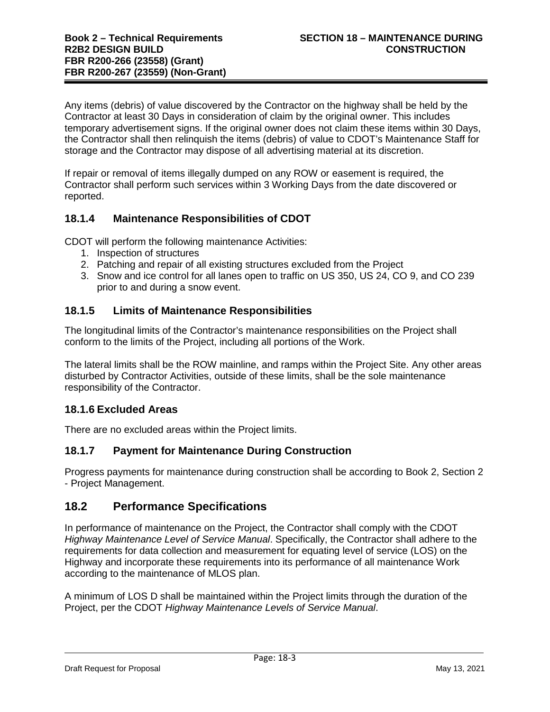Any items (debris) of value discovered by the Contractor on the highway shall be held by the Contractor at least 30 Days in consideration of claim by the original owner. This includes temporary advertisement signs. If the original owner does not claim these items within 30 Days, the Contractor shall then relinquish the items (debris) of value to CDOT's Maintenance Staff for storage and the Contractor may dispose of all advertising material at its discretion.

If repair or removal of items illegally dumped on any ROW or easement is required, the Contractor shall perform such services within 3 Working Days from the date discovered or reported.

### **18.1.4 Maintenance Responsibilities of CDOT**

CDOT will perform the following maintenance Activities:

- 1. Inspection of structures
- 2. Patching and repair of all existing structures excluded from the Project
- 3. Snow and ice control for all lanes open to traffic on US 350, US 24, CO 9, and CO 239 prior to and during a snow event.

#### **18.1.5 Limits of Maintenance Responsibilities**

The longitudinal limits of the Contractor's maintenance responsibilities on the Project shall conform to the limits of the Project, including all portions of the Work.

The lateral limits shall be the ROW mainline, and ramps within the Project Site. Any other areas disturbed by Contractor Activities, outside of these limits, shall be the sole maintenance responsibility of the Contractor.

#### **18.1.6 Excluded Areas**

There are no excluded areas within the Project limits.

### **18.1.7 Payment for Maintenance During Construction**

Progress payments for maintenance during construction shall be according to Book 2, Section 2 - Project Management.

### **18.2 Performance Specifications**

In performance of maintenance on the Project, the Contractor shall comply with the CDOT *Highway Maintenance Level of Service Manual*. Specifically, the Contractor shall adhere to the requirements for data collection and measurement for equating level of service (LOS) on the Highway and incorporate these requirements into its performance of all maintenance Work according to the maintenance of MLOS plan.

A minimum of LOS D shall be maintained within the Project limits through the duration of the Project, per the CDOT *Highway Maintenance Levels of Service Manual*.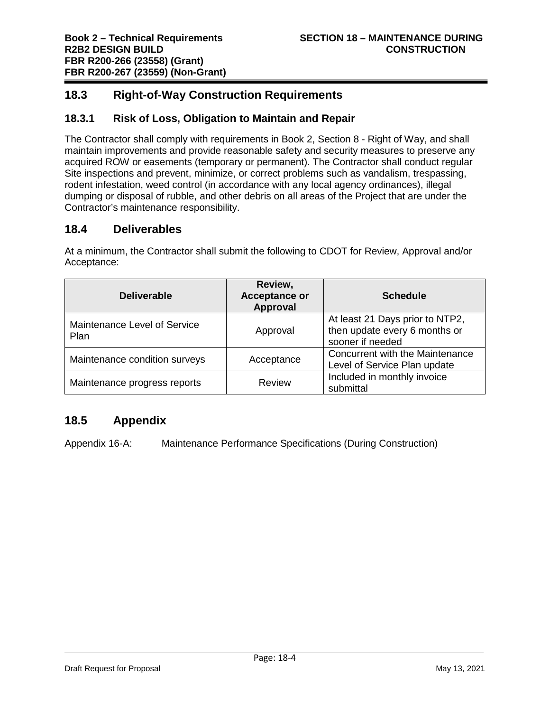# **18.3 Right-of-Way Construction Requirements**

### **18.3.1 Risk of Loss, Obligation to Maintain and Repair**

The Contractor shall comply with requirements in Book 2, Section 8 - Right of Way, and shall maintain improvements and provide reasonable safety and security measures to preserve any acquired ROW or easements (temporary or permanent). The Contractor shall conduct regular Site inspections and prevent, minimize, or correct problems such as vandalism, trespassing, rodent infestation, weed control (in accordance with any local agency ordinances), illegal dumping or disposal of rubble, and other debris on all areas of the Project that are under the Contractor's maintenance responsibility.

### **18.4 Deliverables**

At a minimum, the Contractor shall submit the following to CDOT for Review, Approval and/or Acceptance:

| <b>Deliverable</b>                   | Review,<br><b>Acceptance or</b><br><b>Approval</b> | <b>Schedule</b>                                                                      |
|--------------------------------------|----------------------------------------------------|--------------------------------------------------------------------------------------|
| Maintenance Level of Service<br>Plan | Approval                                           | At least 21 Days prior to NTP2,<br>then update every 6 months or<br>sooner if needed |
| Maintenance condition surveys        | Acceptance                                         | Concurrent with the Maintenance<br>Level of Service Plan update                      |
| Maintenance progress reports         | <b>Review</b>                                      | Included in monthly invoice<br>submittal                                             |

# **18.5 Appendix**

Appendix 16-A: Maintenance Performance Specifications (During Construction)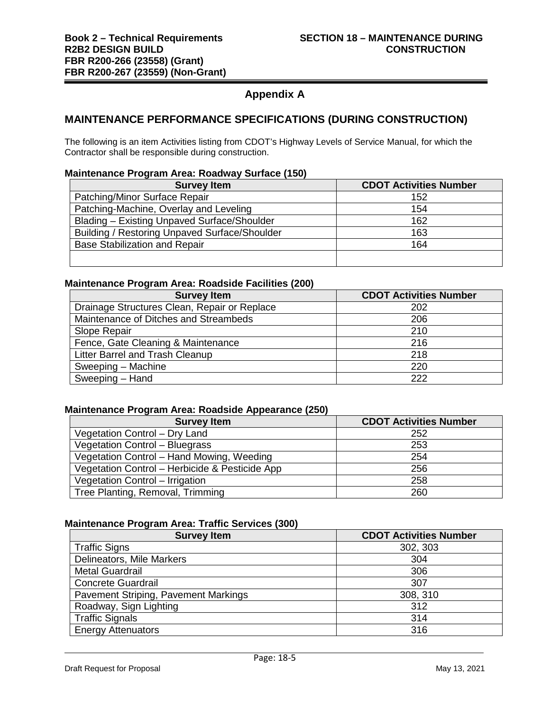# **Appendix A**

#### **MAINTENANCE PERFORMANCE SPECIFICATIONS (DURING CONSTRUCTION)**

The following is an item Activities listing from CDOT's Highway Levels of Service Manual, for which the Contractor shall be responsible during construction.

#### **Maintenance Program Area: Roadway Surface (150)**

| <b>Survey Item</b>                            | <b>CDOT Activities Number</b> |
|-----------------------------------------------|-------------------------------|
| Patching/Minor Surface Repair                 | 152                           |
| Patching-Machine, Overlay and Leveling        | 154                           |
| Blading – Existing Unpaved Surface/Shoulder   | 162                           |
| Building / Restoring Unpaved Surface/Shoulder | 163                           |
| <b>Base Stabilization and Repair</b>          | 164                           |
|                                               |                               |

#### **Maintenance Program Area: Roadside Facilities (200)**

| <b>Survey Item</b>                           | <b>CDOT Activities Number</b> |
|----------------------------------------------|-------------------------------|
| Drainage Structures Clean, Repair or Replace | 202                           |
| Maintenance of Ditches and Streambeds        | 206                           |
| Slope Repair                                 | 210                           |
| Fence, Gate Cleaning & Maintenance           | 216                           |
| Litter Barrel and Trash Cleanup              | 218                           |
| Sweeping - Machine                           | 220                           |
| Sweeping - Hand                              | 222                           |

#### **Maintenance Program Area: Roadside Appearance (250)**

| <b>Survey Item</b>                             | <b>CDOT Activities Number</b> |
|------------------------------------------------|-------------------------------|
| Vegetation Control - Dry Land                  | 252                           |
| Vegetation Control - Bluegrass                 | 253                           |
| Vegetation Control - Hand Mowing, Weeding      | 254                           |
| Vegetation Control - Herbicide & Pesticide App | 256                           |
| Vegetation Control - Irrigation                | 258                           |
| Tree Planting, Removal, Trimming               | 260                           |

#### **Maintenance Program Area: Traffic Services (300)**

| <b>Survey Item</b>                   | <b>CDOT Activities Number</b> |
|--------------------------------------|-------------------------------|
| <b>Traffic Signs</b>                 | 302, 303                      |
| Delineators, Mile Markers            | 304                           |
| <b>Metal Guardrail</b>               | 306                           |
| <b>Concrete Guardrail</b>            | 307                           |
| Pavement Striping, Pavement Markings | 308, 310                      |
| Roadway, Sign Lighting               | 312                           |
| <b>Traffic Signals</b>               | 314                           |
| <b>Energy Attenuators</b>            | 316                           |